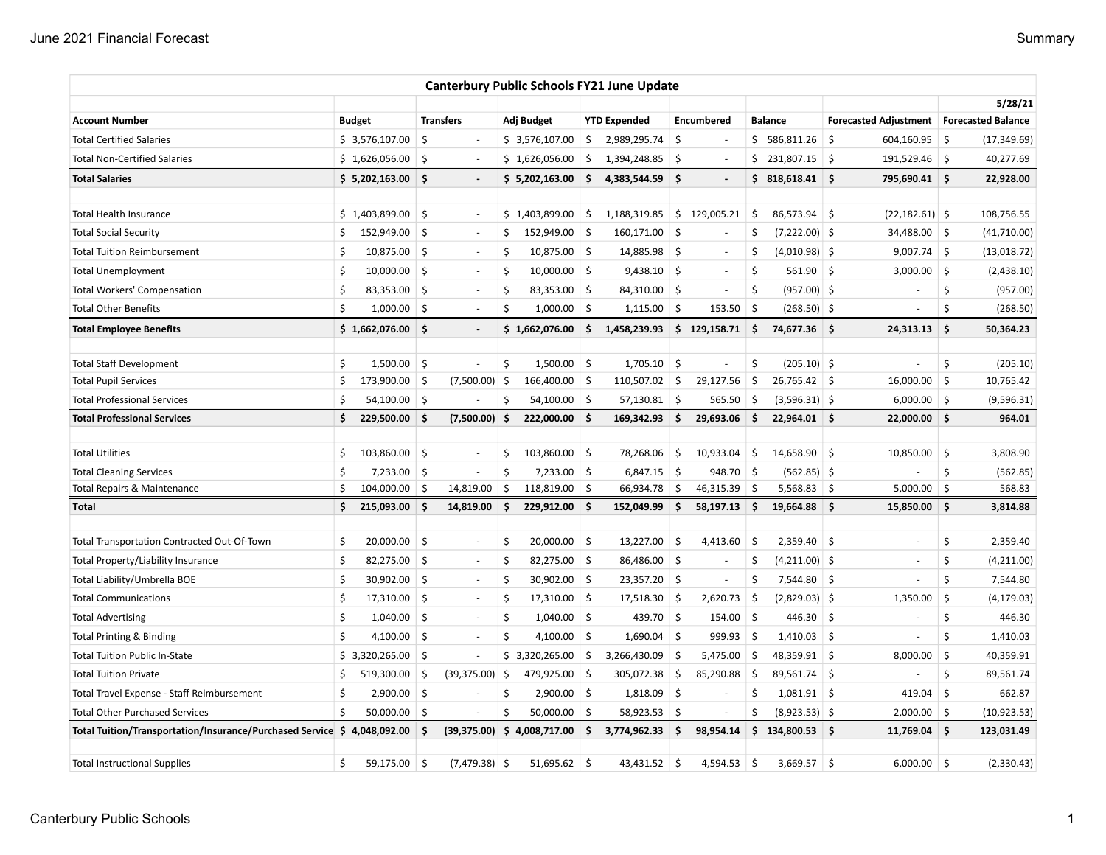|                                                                          |    |                |                     |                          |         |                 |                     | <b>Canterbury Public Schools FY21 June Update</b> |      |                          |     |                 |     |                                            |            |              |
|--------------------------------------------------------------------------|----|----------------|---------------------|--------------------------|---------|-----------------|---------------------|---------------------------------------------------|------|--------------------------|-----|-----------------|-----|--------------------------------------------|------------|--------------|
|                                                                          |    |                |                     |                          |         |                 |                     |                                                   |      |                          |     |                 |     |                                            | 5/28/21    |              |
| <b>Account Number</b>                                                    |    | <b>Budget</b>  |                     | <b>Transfers</b>         |         | Adj Budget      |                     | <b>YTD Expended</b>                               |      | <b>Encumbered</b>        |     | <b>Balance</b>  |     | Forecasted Adjustment   Forecasted Balance |            |              |
| <b>Total Certified Salaries</b>                                          |    | \$3,576,107.00 | \$                  |                          |         | \$3,576,107.00  | \$                  | 2,989,295.74                                      | \$   |                          |     | \$586,811.26    | -\$ | 604,160.95                                 | \$         | (17, 349.69) |
| <b>Total Non-Certified Salaries</b>                                      |    | \$1,626,056.00 | \$                  | $\overline{\phantom{a}}$ |         | \$1,626,056.00  | \$                  | 1,394,248.85                                      | \$   | $\sim$                   |     | \$231,807.15    | \$  | 191,529.46 \$                              |            | 40,277.69    |
| <b>Total Salaries</b>                                                    |    | \$5,202,163.00 | \$.                 | $\overline{\phantom{a}}$ |         | \$5,202,163.00  | \$                  | 4,383,544.59                                      | \$.  |                          |     | \$318,618.41    |     | 795,690.41 \$                              |            | 22,928.00    |
| Total Health Insurance                                                   |    | \$1,403,899.00 | \$                  | $\sim$                   |         | \$1,403,899.00  | \$                  | 1,188,319.85                                      |      | \$129,005.21             | \$  | 86,573.94       | -\$ | $(22, 182.61)$ \$                          |            | 108,756.55   |
| <b>Total Social Security</b>                                             | \$ | 152,949.00     | \$                  | $\sim$                   | \$      | 152,949.00      | S.                  | 160,171.00                                        | \$   |                          | Ś   | $(7,222.00)$ \$ |     | 34,488.00 \$                               |            | (41,710.00)  |
| <b>Total Tuition Reimbursement</b>                                       | \$ | 10,875.00      | $\ddot{\mathsf{S}}$ | $\sim$                   | \$      | $10,875.00$ \$  |                     | 14,885.98                                         | \$   |                          | \$  | $(4,010.98)$ \$ |     | 9,007.74                                   | $\vert$ \$ | (13,018.72)  |
| <b>Total Unemployment</b>                                                | \$ | 10,000.00      | Ŝ.                  | $\sim$                   | \$      | $10,000.00$ \$  |                     | 9,438.10                                          | Ŝ.   |                          | \$  | $561.90$ \$     |     | 3,000.00                                   | 5          | (2,438.10)   |
| <b>Total Workers' Compensation</b>                                       | \$ | 83,353.00      | \$                  | $\overline{\phantom{a}}$ | \$      | 83,353.00       | \$                  | 84,310.00                                         | \$   |                          | \$  | $(957.00)$ \$   |     |                                            | \$         | (957.00)     |
| <b>Total Other Benefits</b>                                              | Ś. | 1,000.00       | Ŝ.                  | $\sim$                   | $\zeta$ | 1,000.00        | S.                  | 1,115.00                                          | \$   | 153.50                   | \$  | $(268.50)$ \$   |     |                                            | Ś          | (268.50)     |
| <b>Total Employee Benefits</b>                                           |    | \$1,662,076.00 | \$                  | $\sim$                   |         | \$1,662,076.00  | \$                  | 1,458,239.93                                      |      | \$129,158.71             | ∣\$ | 74,677.36 \$    |     | 24,313.13                                  | $\vert$ \$ | 50,364.23    |
| <b>Total Staff Development</b>                                           | \$ | 1,500.00       | \$                  | ä,                       | \$      | 1,500.00        | \$                  | 1,705.10                                          | \$   |                          | \$  | $(205.10)$ \$   |     | ä,                                         | \$         | (205.10)     |
| <b>Total Pupil Services</b>                                              | \$ | 173,900.00     | \$.                 | $(7,500.00)$ \$          |         | $166,400.00$ \$ |                     | 110,507.02                                        | \$   | 29,127.56                | -\$ | $26,765.42$ \$  |     | 16,000.00                                  | \$         | 10,765.42    |
| <b>Total Professional Services</b>                                       | Ś. | 54,100.00      | 5                   |                          | Ś.      | $54,100.00$ \$  |                     | $57,130.81$ \$                                    |      | 565.50                   | 5   | $(3,596.31)$ \$ |     | $6,000.00$ \$                              |            | (9,596.31)   |
| <b>Total Professional Services</b>                                       | \$ | 229,500.00     | \$ ا                | $(7,500.00)$ \$          |         | $222,000.00$ \$ |                     | 169,342.93                                        | \$ ا | 29,693.06                | 5.  | $22,964.01$ \$  |     | $22,000.00$ \$                             |            | 964.01       |
|                                                                          |    |                |                     |                          |         |                 |                     |                                                   |      |                          |     |                 |     |                                            |            |              |
| <b>Total Utilities</b>                                                   | \$ | 103,860.00     | \$                  | ÷,                       | \$      | 103,860.00      | \$                  | 78,268.06                                         | \$   | 10,933.04                | \$  | 14,658.90       | \$  | 10,850.00                                  | \$         | 3,808.90     |
| <b>Total Cleaning Services</b>                                           | \$ | 7,233.00       | \$                  | ÷,                       | \$      | $7,233.00$ \$   |                     | 6,847.15                                          | \$   | 948.70                   | 5   | $(562.85)$ \$   |     |                                            | \$         | (562.85)     |
| Total Repairs & Maintenance                                              | \$ | 104,000.00     | S.                  | 14,819.00                | \$      | 118,819.00 \$   |                     | 66,934.78                                         | \$   | 46,315.39                | ∣\$ | $5,568.83$ \$   |     | 5,000.00                                   | \$         | 568.83       |
| Total                                                                    | \$ | 215,093.00     | \$                  | 14,819.00                | \$      | 229,912.00 \$   |                     | 152,049.99                                        | \$   | 58,197.13                | -\$ | $19,664.88$ \$  |     | 15,850.00                                  | $\vert$ \$ | 3,814.88     |
| Total Transportation Contracted Out-Of-Town                              | \$ | 20,000.00      | \$                  | $\sim$                   | \$      | 20,000.00       | \$                  | 13,227.00                                         | -\$  | 4,413.60                 | -\$ | 2,359.40        | -\$ | $\sim$                                     | \$         | 2,359.40     |
| Total Property/Liability Insurance                                       | \$ | 82,275.00      | \$                  | $\overline{\phantom{a}}$ | \$      | $82,275.00$ \$  |                     | 86,486.00 \$                                      |      | $\overline{\phantom{a}}$ | \$  | $(4,211.00)$ \$ |     | $\overline{\phantom{a}}$                   | \$         | (4, 211.00)  |
| Total Liability/Umbrella BOE                                             | \$ | 30,902.00      | \$                  | $\sim$                   | \$      | $30,902.00$ \$  |                     | $23,357.20$ \$                                    |      | $\sim$                   | \$  | 7,544.80 \$     |     | ÷,                                         | \$         | 7,544.80     |
| <b>Total Communications</b>                                              | Ś  | 17,310.00      | \$                  | $\overline{\phantom{a}}$ | Ś       | $17,310.00$ \$  |                     | 17,518.30                                         | -\$  | 2,620.73                 | -\$ | $(2,829.03)$ \$ |     | 1,350.00                                   | \$         | (4, 179.03)  |
| <b>Total Advertising</b>                                                 | \$ | 1,040.00       | \$                  | $\sim$                   | \$      | $1,040.00$ \$   |                     | 439.70 \$                                         |      | 154.00                   | ∣\$ | $446.30$ \$     |     | $\overline{\phantom{a}}$                   | \$         | 446.30       |
| <b>Total Printing &amp; Binding</b>                                      | Ś. | 4,100.00       | \$                  | $\sim$                   | \$      | 4,100.00 \$     |                     | 1,690.04                                          | \$   | 999.93                   | -\$ | $1,410.03$ \$   |     | $\overline{\phantom{a}}$                   | Ś          | 1,410.03     |
| <b>Total Tuition Public In-State</b>                                     |    | \$3,320,265.00 | \$.                 | ÷,                       |         | \$3,320,265.00  | S.                  | 3,266,430.09                                      | \$.  | 5,475.00                 | -\$ | 48,359.91 \$    |     | 8,000.00                                   | \$         | 40,359.91    |
| <b>Total Tuition Private</b>                                             | \$ | 519,300.00     | \$                  | (39, 375.00)             | -\$     | 479,925.00 \$   |                     | 305,072.38                                        | \$   | 85,290.88                | Ŝ.  | 89,561.74 \$    |     |                                            | \$         | 89,561.74    |
| Total Travel Expense - Staff Reimbursement                               | \$ | 2,900.00       | \$                  | ÷,                       | \$      | $2,900.00$ \$   |                     | 1,818.09                                          | Ŝ.   |                          | \$  | $1,081.91$ \$   |     | 419.04                                     | \$         | 662.87       |
| <b>Total Other Purchased Services</b>                                    | \$ | 50,000.00      | \$                  |                          | Ś       | 50,000.00       | $\ddot{\mathsf{S}}$ | 58,923.53                                         | \$   |                          | \$  | $(8,923.53)$ \$ |     | 2,000.00                                   | \$         | (10, 923.53) |
| Total Tuition/Transportation/Insurance/Purchased Service \$ 4,048,092.00 |    |                | \$                  | (39,375.00)              |         | \$4,008,717.00  | \$                  | 3,774,962.33                                      | \$   | 98,954.14                |     | \$134,800.53    |     | $11,769.04$ \$                             |            | 123,031.49   |
| <b>Total Instructional Supplies</b>                                      | \$ | 59,175.00      | \$                  | $(7,479.38)$ \$          |         | $51,695.62$ \$  |                     | 43,431.52                                         | Ŝ.   | 4,594.53                 | -\$ | 3,669.57        | -\$ | 6,000.00                                   | ∣\$        | (2,330.43)   |